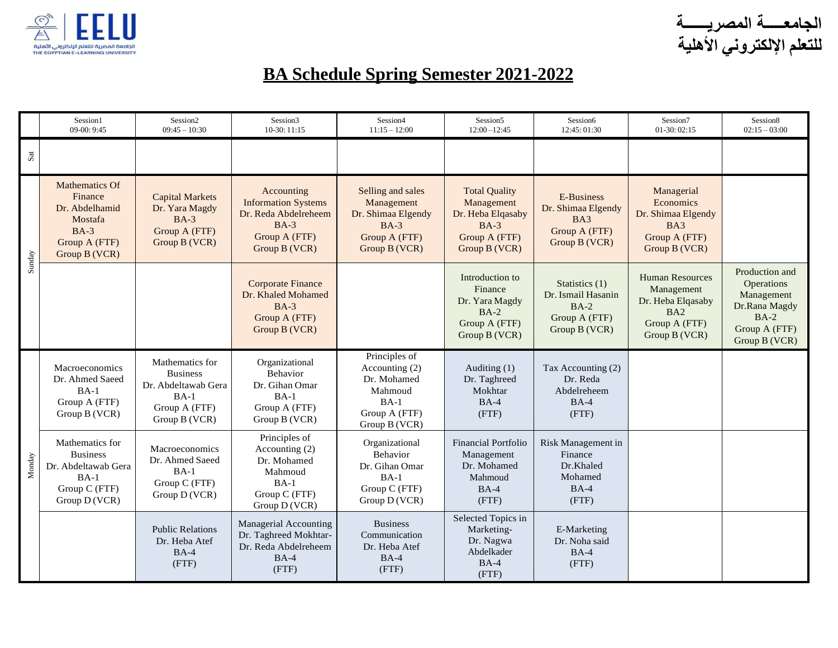

**الجامعـــــة المصريــــــة للتعلم اإللكتروني األهلية**

## **BA Schedule Spring Semester 2021-2022**

|        | Session1<br>$09-00:9:45$                                                                              | Session <sub>2</sub><br>$09:45 - 10:30$                                                               | Session3<br>10-30: 11:15                                                                                     | Session4<br>$11:15 - 12:00$                                                                             | Session5<br>$12:00 - 12:45$                                                                         | Session6<br>12:45:01:30                                                          | Session7<br>$01-30:02:15$                                                                          | Session8<br>$02:15 - 03:00$                                                                                    |
|--------|-------------------------------------------------------------------------------------------------------|-------------------------------------------------------------------------------------------------------|--------------------------------------------------------------------------------------------------------------|---------------------------------------------------------------------------------------------------------|-----------------------------------------------------------------------------------------------------|----------------------------------------------------------------------------------|----------------------------------------------------------------------------------------------------|----------------------------------------------------------------------------------------------------------------|
| Sat    |                                                                                                       |                                                                                                       |                                                                                                              |                                                                                                         |                                                                                                     |                                                                                  |                                                                                                    |                                                                                                                |
| Sunday | Mathematics Of<br>Finance<br>Dr. Abdelhamid<br>Mostafa<br>$BA-3$<br>Group A (FTF)<br>Group B (VCR)    | <b>Capital Markets</b><br>Dr. Yara Magdy<br>$BA-3$<br>Group A (FTF)<br>Group B (VCR)                  | Accounting<br><b>Information Systems</b><br>Dr. Reda Abdelreheem<br>$BA-3$<br>Group A (FTF)<br>Group B (VCR) | Selling and sales<br>Management<br>Dr. Shimaa Elgendy<br>$BA-3$<br>Group A (FTF)<br>Group B (VCR)       | <b>Total Quality</b><br>Management<br>Dr. Heba Elqasaby<br>$BA-3$<br>Group A (FTF)<br>Group B (VCR) | <b>E-Business</b><br>Dr. Shimaa Elgendy<br>BA3<br>Group A (FTF)<br>Group B (VCR) | Managerial<br>Economics<br>Dr. Shimaa Elgendy<br>BA3<br>Group A (FTF)<br>Group B (VCR)             |                                                                                                                |
|        |                                                                                                       |                                                                                                       | <b>Corporate Finance</b><br>Dr. Khaled Mohamed<br>$BA-3$<br>Group A (FTF)<br>Group B (VCR)                   |                                                                                                         | Introduction to<br>Finance<br>Dr. Yara Magdy<br>$BA-2$<br>Group A (FTF)<br>Group B (VCR)            | Statistics (1)<br>Dr. Ismail Hasanin<br>$BA-2$<br>Group A (FTF)<br>Group B (VCR) | <b>Human Resources</b><br>Management<br>Dr. Heba Elqasaby<br>BA2<br>Group A (FTF)<br>Group B (VCR) | Production and<br><b>Operations</b><br>Management<br>Dr.Rana Magdy<br>$BA-2$<br>Group A (FTF)<br>Group B (VCR) |
| Monday | Macroeconomics<br>Dr. Ahmed Saeed<br>$BA-1$<br>Group A (FTF)<br>Group B (VCR)                         | Mathematics for<br><b>Business</b><br>Dr. Abdeltawab Gera<br>$BA-1$<br>Group A (FTF)<br>Group B (VCR) | Organizational<br>Behavior<br>Dr. Gihan Omar<br>$BA-1$<br>Group A (FTF)<br>Group B (VCR)                     | Principles of<br>Accounting $(2)$<br>Dr. Mohamed<br>Mahmoud<br>$BA-1$<br>Group A (FTF)<br>Group B (VCR) | Auditing $(1)$<br>Dr. Taghreed<br>Mokhtar<br>$BA-4$<br>(FTF)                                        | Tax Accounting (2)<br>Dr. Reda<br>Abdelreheem<br>$BA-4$<br>(FTF)                 |                                                                                                    |                                                                                                                |
|        | Mathematics for<br><b>Business</b><br>Dr. Abdeltawab Gera<br>$BA-1$<br>Group C (FTF)<br>Group D (VCR) | Macroeconomics<br>Dr. Ahmed Saeed<br>$BA-1$<br>Group C (FTF)<br>Group D (VCR)                         | Principles of<br>Accounting (2)<br>Dr. Mohamed<br>Mahmoud<br>$BA-1$<br>Group C (FTF)<br>Group D (VCR)        | Organizational<br><b>Behavior</b><br>Dr. Gihan Omar<br>$BA-1$<br>Group C (FTF)<br>Group D (VCR)         | Financial Portfolio<br>Management<br>Dr. Mohamed<br>Mahmoud<br>$BA-4$<br>(FTF)                      | Risk Management in<br>Finance<br>Dr.Khaled<br>Mohamed<br>$BA-4$<br>(FTF)         |                                                                                                    |                                                                                                                |
|        |                                                                                                       | <b>Public Relations</b><br>Dr. Heba Atef<br>$BA-4$<br>(FTF)                                           | Managerial Accounting<br>Dr. Taghreed Mokhtar-<br>Dr. Reda Abdelreheem<br>$BA-4$<br>(FTF)                    | <b>Business</b><br>Communication<br>Dr. Heba Atef<br>$BA-4$<br>(FTF)                                    | Selected Topics in<br>Marketing-<br>Dr. Nagwa<br>Abdelkader<br>$BA-4$<br>(FTF)                      | E-Marketing<br>Dr. Noha said<br>$BA-4$<br>(FTF)                                  |                                                                                                    |                                                                                                                |